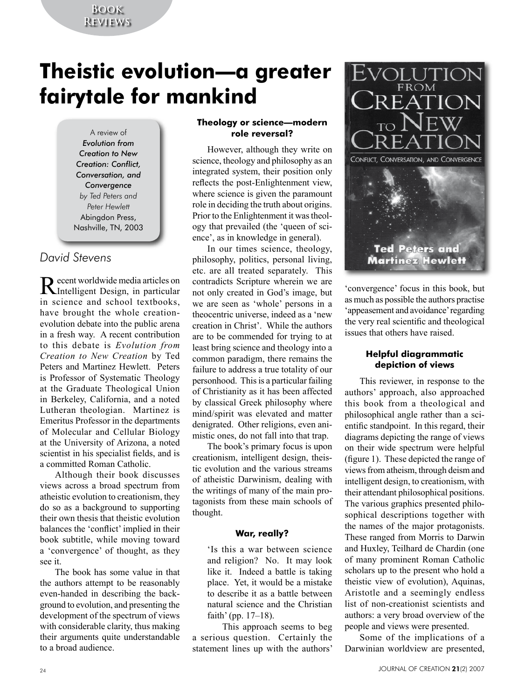## **Book Reviews**

# **Theistic evolution—a greater fairytale for mankind**

A review of *Evolution from Creation to New Creation: Conflict, Conversation, and Convergence by Ted Peters and Peter Hewlett* Abingdon Press, Nashville, TN, 2003

## *David Stevens*

Recent worldwide media articles on Intelligent Design, in particular in science and school textbooks, have brought the whole creationevolution debate into the public arena in a fresh way. A recent contribution to this debate is *Evolution from Creation to New Creation* by Ted Peters and Martinez Hewlett. Peters is Professor of Systematic Theology at the Graduate Theological Union in Berkeley, California, and a noted Lutheran theologian. Martinez is Emeritus Professor in the departments of Molecular and Cellular Biology at the University of Arizona, a noted scientist in his specialist fields, and is a committed Roman Catholic.

Although their book discusses views across a broad spectrum from atheistic evolution to creationism, they do so as a background to supporting their own thesis that theistic evolution balances the 'conflict' implied in their book subtitle, while moving toward a 'convergence' of thought, as they see it.

The book has some value in that the authors attempt to be reasonably even-handed in describing the background to evolution, and presenting the development of the spectrum of views with considerable clarity, thus making their arguments quite understandable to a broad audience.

#### **Theology or science—modern role reversal?**

However, although they write on science, theology and philosophy as an integrated system, their position only reflects the post-Enlightenment view, where science is given the paramount role in deciding the truth about origins. Prior to the Enlightenment it was theology that prevailed (the 'queen of science', as in knowledge in general).

In our times science, theology, philosophy, politics, personal living, etc. are all treated separately. This contradicts Scripture wherein we are not only created in God's image, but we are seen as 'whole' persons in a theocentric universe, indeed as a 'new creation in Christ'. While the authors are to be commended for trying to at least bring science and theology into a common paradigm, there remains the failure to address a true totality of our personhood. This is a particular failing of Christianity as it has been affected by classical Greek philosophy where mind/spirit was elevated and matter denigrated. Other religions, even animistic ones, do not fall into that trap.

The book's primary focus is upon creationism, intelligent design, theistic evolution and the various streams of atheistic Darwinism, dealing with the writings of many of the main protagonists from these main schools of thought.

### **War, really?**

'Is this a war between science and religion? No. It may look like it. Indeed a battle is taking place. Yet, it would be a mistake to describe it as a battle between natural science and the Christian faith' (pp. 17–18).

This approach seems to beg a serious question. Certainly the statement lines up with the authors'



'convergence' focus in this book, but as much as possible the authors practise 'appeasement and avoidance' regarding the very real scientific and theological issues that others have raised.

#### **Helpful diagrammatic depiction of views**

This reviewer, in response to the authors' approach, also approached this book from a theological and philosophical angle rather than a scientific standpoint. In this regard, their diagrams depicting the range of views on their wide spectrum were helpful (figure 1). These depicted the range of views from atheism, through deism and intelligent design, to creationism, with their attendant philosophical positions. The various graphics presented philosophical descriptions together with the names of the major protagonists. These ranged from Morris to Darwin and Huxley, Teilhard de Chardin (one of many prominent Roman Catholic scholars up to the present who hold a theistic view of evolution), Aquinas, Aristotle and a seemingly endless list of non-creationist scientists and authors: a very broad overview of the people and views were presented.

Some of the implications of a Darwinian worldview are presented,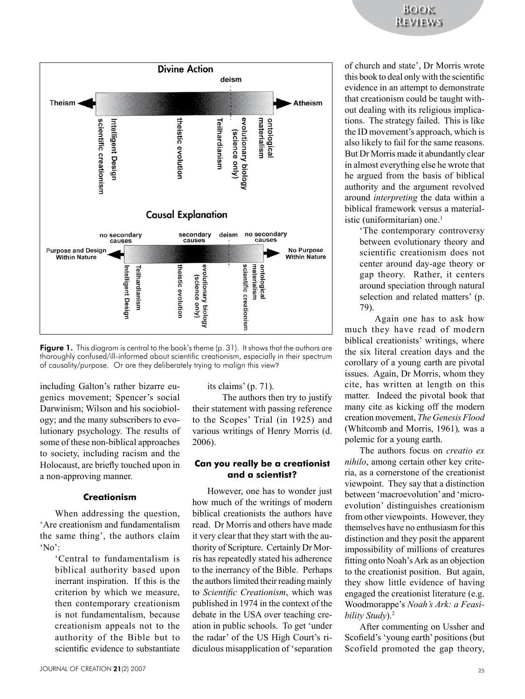

Figure 1. This diagram is central to the book's theme (p. 31). It shows that the authors are thoroughly confused/ill-informed about scientific creationism, especially in their spectrum of causality/purpose. Or are they deliberately trying to malign this view?

including Galton's rather bizarre eugenics movement; Spencer's social Darwinism; Wilson and his sociobiology; and the many subscribers to evolutionary psychology. The results of some of these non-biblical approaches to society, including racism and the Holocaust, are briefly touched upon in a non-approving manner.

#### **Creationism**

When addressing the question, 'Are creationism and fundamentalism the same thing', the authors claim  $^{\circ}$ No':

> 'Central to fundamentalism is biblical authority based upon inerrant inspiration. If this is the criterion by which we measure, then contemporary creationism is not fundamentalism, because creationism appeals not to the authority of the Bible but to scientific evidence to substantiate

its claims' (p. 71).

The authors then try to justify their statement with passing reference to the Scopes' Trial (in 1925) and various writings of Henry Morris (d. 2006).

#### **Can you really be a creationist and a scientist?**

However, one has to wonder just how much of the writings of modern biblical creationists the authors have read. Dr Morris and others have made it very clear that they start with the authority of Scripture. Certainly Dr Morris has repeatedly stated his adherence to the inerrancy of the Bible. Perhaps the authors limited their reading mainly to *Scientific Creationism*, which was published in 1974 in the context of the debate in the USA over teaching creation in public schools. To get 'under the radar' of the US High Court's ridiculous misapplication of 'separation

of church and state', Dr Morris wrote this book to deal only with the scientific evidence in an attempt to demonstrate that creationism could be taught without dealing with its religious implications. The strategy failed. This is like the ID movement's approach, which is also likely to fail for the same reasons. But Dr Morris made it abundantly clear in almost everything else he wrote that he argued from the basis of biblical authority and the argument revolved around *interpreting* the data within a biblical framework versus a materialistic (uniformitarian) one  $<sup>1</sup>$ </sup>

'The contemporary controversy between evolutionary theory and scientific creationism does not center around day-age theory or gap theory. Rather, it centers around speciation through natural selection and related matters' (p. 79).

Again one has to ask how much they have read of modern biblical creationists' writings, where the six literal creation days and the corollary of a young earth are pivotal issues. Again, Dr Morris, whom they cite, has written at length on this matter. Indeed the pivotal book that many cite as kicking off the modern creation movement, *The Genesis Flood*  (Whitcomb and Morris, 1961)*,* was a polemic for a young earth.

The authors focus on *creatio ex nihilo*, among certain other key criteria, as a cornerstone of the creationist viewpoint. They say that a distinction between 'macroevolution' and 'microevolution' distinguishes creationism from other viewpoints. However, they themselves have no enthusiasm for this distinction and they posit the apparent impossibility of millions of creatures fitting onto Noah's Ark as an objection to the creationist position. But again, they show little evidence of having engaged the creationist literature (e.g. Woodmorappe's *Noah's Ark: a Feasibility Study*).2

After commenting on Ussher and Scofield's 'young earth' positions (but Scofield promoted the gap theory,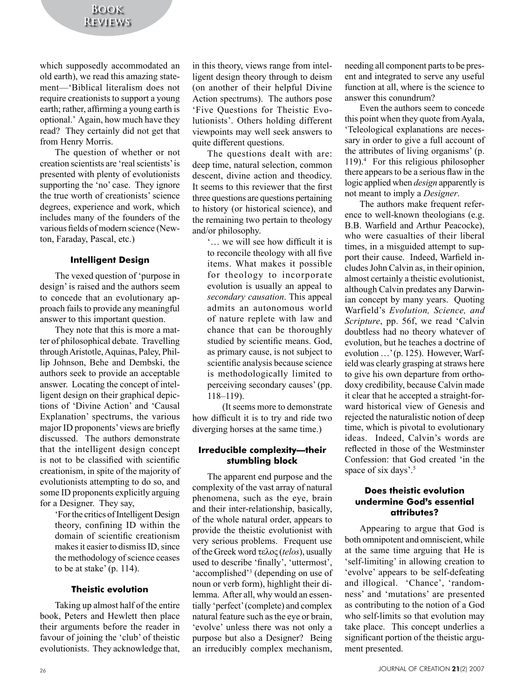which supposedly accommodated an old earth), we read this amazing statement—'Biblical literalism does not require creationists to support a young earth; rather, affirming a young earth is optional.' Again, how much have they read? They certainly did not get that from Henry Morris.

The question of whether or not creation scientists are 'real scientists' is presented with plenty of evolutionists supporting the 'no' case. They ignore the true worth of creationists' science degrees, experience and work, which includes many of the founders of the various fields of modern science (Newton, Faraday, Pascal, etc.)

#### **Intelligent Design**

The vexed question of 'purpose in design' is raised and the authors seem to concede that an evolutionary approach fails to provide any meaningful answer to this important question.

They note that this is more a matter of philosophical debate. Travelling through Aristotle, Aquinas, Paley, Phillip Johnson, Behe and Dembski, the authors seek to provide an acceptable answer. Locating the concept of intelligent design on their graphical depictions of 'Divine Action' and 'Causal Explanation' spectrums, the various major ID proponents' views are briefly discussed. The authors demonstrate that the intelligent design concept is not to be classified with scientific creationism, in spite of the majority of evolutionists attempting to do so, and some ID proponents explicitly arguing for a Designer. They say,

'For the critics of Intelligent Design theory, confining ID within the domain of scientific creationism makes it easier to dismiss ID, since the methodology of science ceases to be at stake' (p. 114).

#### **Theistic evolution**

Taking up almost half of the entire book, Peters and Hewlett then place their arguments before the reader in favour of joining the 'club' of theistic evolutionists. They acknowledge that, in this theory, views range from intelligent design theory through to deism (on another of their helpful Divine Action spectrums). The authors pose 'Five Questions for Theistic Evolutionists'. Others holding different viewpoints may well seek answers to quite different questions.

The questions dealt with are: deep time, natural selection, common descent, divine action and theodicy. It seems to this reviewer that the first three questions are questions pertaining to history (or historical science), and the remaining two pertain to theology and/or philosophy.

'… we will see how difficult it is to reconcile theology with all five items. What makes it possible for theology to incorporate evolution is usually an appeal to *secondary causation*. This appeal admits an autonomous world of nature replete with law and chance that can be thoroughly studied by scientific means. God, as primary cause, is not subject to scientific analysis because science is methodologically limited to perceiving secondary causes' (pp. 118–119).

(It seems more to demonstrate how difficult it is to try and ride two diverging horses at the same time.)

#### **Irreducible complexity—their stumbling block**

The apparent end purpose and the complexity of the vast array of natural phenomena, such as the eye, brain and their inter-relationship, basically, of the whole natural order, appears to provide the theistic evolutionist with very serious problems. Frequent use of the Greek word τελος (*telos*), usually used to describe 'finally', 'uttermost', 'accomplished'<sup>3</sup> (depending on use of noun or verb form), highlight their dilemma. After all, why would an essentially 'perfect' (complete) and complex natural feature such as the eye or brain, 'evolve' unless there was not only a purpose but also a Designer? Being an irreducibly complex mechanism,

needing all component parts to be present and integrated to serve any useful function at all, where is the science to answer this conundrum?

Even the authors seem to concede this point when they quote from Ayala, 'Teleological explanations are necessary in order to give a full account of the attributes of living organisms' (p. 119).4 For this religious philosopher there appears to be a serious flaw in the logic applied when *design* apparently is not meant to imply a *Designer*.

The authors make frequent reference to well-known theologians (e.g. B.B. Warfield and Arthur Peacocke), who were casualties of their liberal times, in a misguided attempt to support their cause. Indeed, Warfield includes John Calvin as, in their opinion, almost certainly a theistic evolutionist, although Calvin predates any Darwinian concept by many years. Quoting Warfield's *Evolution, Science, and Scripture*, pp. 56f, we read 'Calvin doubtless had no theory whatever of evolution, but he teaches a doctrine of evolution …' (p. 125). However, Warfield was clearly grasping at straws here to give his own departure from orthodoxy credibility, because Calvin made it clear that he accepted a straight-forward historical view of Genesis and rejected the naturalistic notion of deep time, which is pivotal to evolutionary ideas. Indeed, Calvin's words are reflected in those of the Westminster Confession: that God created 'in the space of six days'.<sup>5</sup>

#### **Does theistic evolution undermine God**'**s essential attributes?**

Appearing to argue that God is both omnipotent and omniscient, while at the same time arguing that He is 'self-limiting' in allowing creation to 'evolve' appears to be self-defeating and illogical. 'Chance', 'randomness' and 'mutations' are presented as contributing to the notion of a God who self-limits so that evolution may take place. This concept underlies a significant portion of the theistic argument presented.